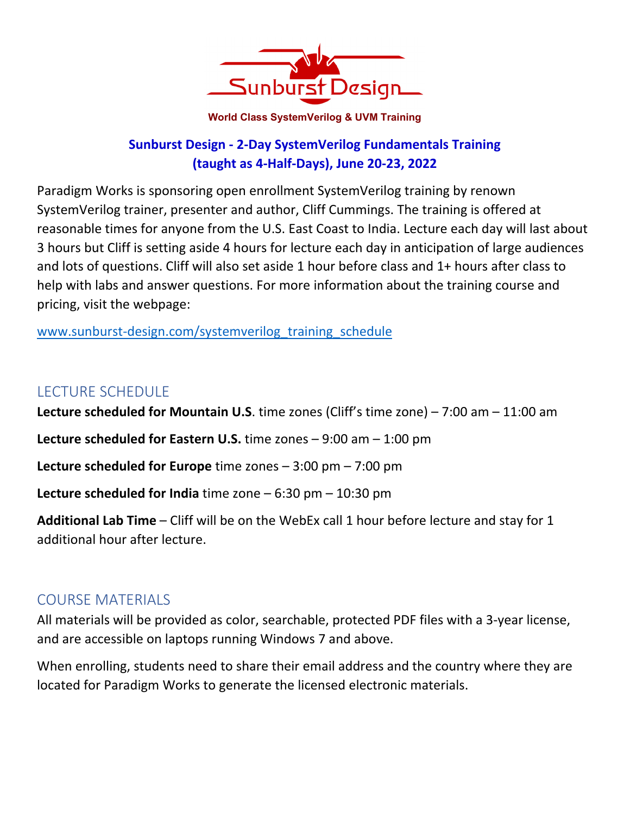

**World Class SystemVerilog & UVM Training** 

### **Sunburst Design - 2-Day SystemVerilog Fundamentals Training (taught as 4-Half-Days), June 20-23, 2022**

Paradigm Works is sponsoring open enrollment SystemVerilog training by renown SystemVerilog trainer, presenter and author, Cliff Cummings. The training is offered at reasonable times for anyone from the U.S. East Coast to India. Lecture each day will last about 3 hours but Cliff is setting aside 4 hours for lecture each day in anticipation of large audiences and lots of questions. Cliff will also set aside 1 hour before class and 1+ hours after class to help with labs and answer questions. For more information about the training course and pricing, visit the webpage:

www.sunburst-design.com/systemverilog\_training\_schedule

# LECTURE SCHEDULE

**Lecture scheduled for Mountain U.S**. time zones (Cliff's time zone) – 7:00 am – 11:00 am **Lecture scheduled for Eastern U.S.** time zones – 9:00 am – 1:00 pm **Lecture scheduled for Europe** time zones – 3:00 pm – 7:00 pm **Lecture scheduled for India** time zone – 6:30 pm – 10:30 pm **Additional Lab Time** – Cliff will be on the WebEx call 1 hour before lecture and stay for 1

### COURSE MATERIALS

additional hour after lecture.

All materials will be provided as color, searchable, protected PDF files with a 3-year license, and are accessible on laptops running Windows 7 and above.

When enrolling, students need to share their email address and the country where they are located for Paradigm Works to generate the licensed electronic materials.